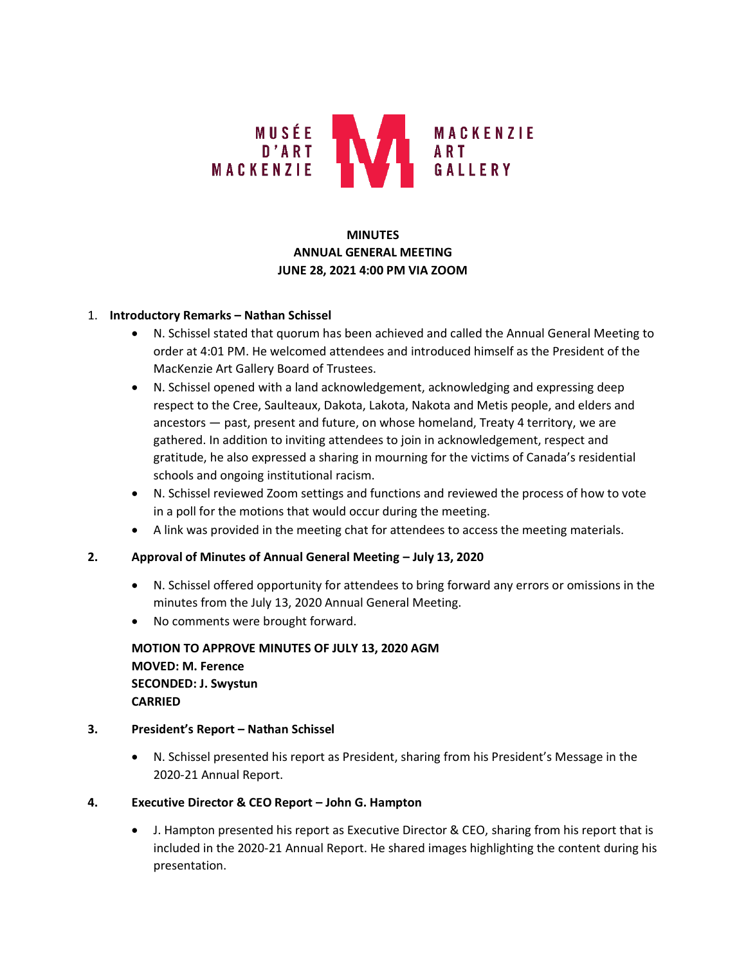

# **MINUTES ANNUAL GENERAL MEETING JUNE 28, 2021 4:00 PM VIA ZOOM**

### 1. **Introductory Remarks – Nathan Schissel**

- N. Schissel stated that quorum has been achieved and called the Annual General Meeting to order at 4:01 PM. He welcomed attendees and introduced himself as the President of the MacKenzie Art Gallery Board of Trustees.
- N. Schissel opened with a land acknowledgement, acknowledging and expressing deep respect to the Cree, Saulteaux, Dakota, Lakota, Nakota and Metis people, and elders and ancestors — past, present and future, on whose homeland, Treaty 4 territory, we are gathered. In addition to inviting attendees to join in acknowledgement, respect and gratitude, he also expressed a sharing in mourning for the victims of Canada's residential schools and ongoing institutional racism.
- N. Schissel reviewed Zoom settings and functions and reviewed the process of how to vote in a poll for the motions that would occur during the meeting.
- A link was provided in the meeting chat for attendees to access the meeting materials.

### **2. Approval of Minutes of Annual General Meeting – July 13, 2020**

- N. Schissel offered opportunity for attendees to bring forward any errors or omissions in the minutes from the July 13, 2020 Annual General Meeting.
- No comments were brought forward.

**MOTION TO APPROVE MINUTES OF JULY 13, 2020 AGM MOVED: M. Ference SECONDED: J. Swystun CARRIED**

### **3. President's Report – Nathan Schissel**

• N. Schissel presented his report as President, sharing from his President's Message in the 2020-21 Annual Report.

### **4. Executive Director & CEO Report – John G. Hampton**

• J. Hampton presented his report as Executive Director & CEO, sharing from his report that is included in the 2020-21 Annual Report. He shared images highlighting the content during his presentation.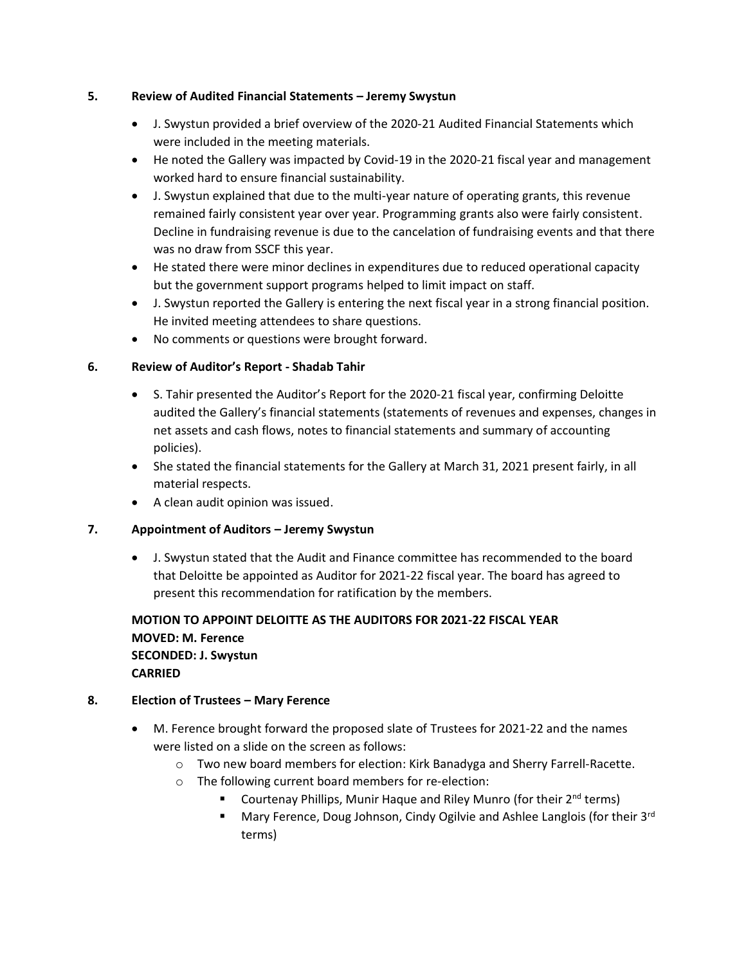### **5. Review of Audited Financial Statements – Jeremy Swystun**

- J. Swystun provided a brief overview of the 2020-21 Audited Financial Statements which were included in the meeting materials.
- He noted the Gallery was impacted by Covid-19 in the 2020-21 fiscal year and management worked hard to ensure financial sustainability.
- J. Swystun explained that due to the multi-year nature of operating grants, this revenue remained fairly consistent year over year. Programming grants also were fairly consistent. Decline in fundraising revenue is due to the cancelation of fundraising events and that there was no draw from SSCF this year.
- He stated there were minor declines in expenditures due to reduced operational capacity but the government support programs helped to limit impact on staff.
- J. Swystun reported the Gallery is entering the next fiscal year in a strong financial position. He invited meeting attendees to share questions.
- No comments or questions were brought forward.

## **6. Review of Auditor's Report - Shadab Tahir**

- S. Tahir presented the Auditor's Report for the 2020-21 fiscal year, confirming Deloitte audited the Gallery's financial statements (statements of revenues and expenses, changes in net assets and cash flows, notes to financial statements and summary of accounting policies).
- She stated the financial statements for the Gallery at March 31, 2021 present fairly, in all material respects.
- A clean audit opinion was issued.

## **7. Appointment of Auditors – Jeremy Swystun**

• J. Swystun stated that the Audit and Finance committee has recommended to the board that Deloitte be appointed as Auditor for 2021-22 fiscal year. The board has agreed to present this recommendation for ratification by the members.

# **MOTION TO APPOINT DELOITTE AS THE AUDITORS FOR 2021-22 FISCAL YEAR MOVED: M. Ference SECONDED: J. Swystun CARRIED**

## **8. Election of Trustees – Mary Ference**

- M. Ference brought forward the proposed slate of Trustees for 2021-22 and the names were listed on a slide on the screen as follows:
	- o Two new board members for election: Kirk Banadyga and Sherry Farrell-Racette.
	- o The following current board members for re-election:
		- Courtenay Phillips, Munir Haque and Riley Munro (for their 2<sup>nd</sup> terms)
		- Mary Ference, Doug Johnson, Cindy Ogilvie and Ashlee Langlois (for their 3<sup>rd</sup> terms)